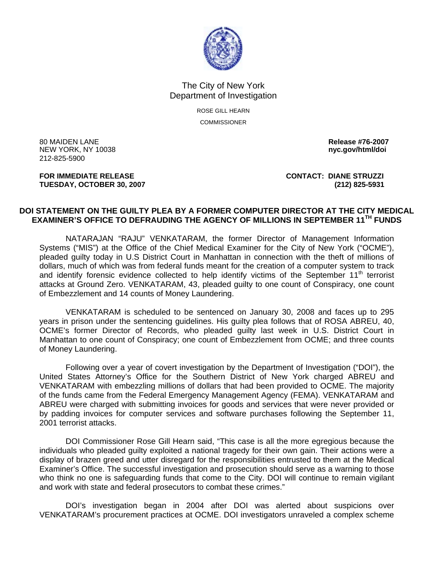

## The City of New York Department of Investigation

ROSE GILL HEARN COMMISSIONER

80 MAIDEN LANE **Release #76-2007 NEW YORK, NY 10038** 212-825-5900

**TUESDAY, OCTOBER 30, 2007 (212) 825-5931** 

**FOR IMMEDIATE RELEASE CONTACT: DIANE STRUZZI** 

## **DOI STATEMENT ON THE GUILTY PLEA BY A FORMER COMPUTER DIRECTOR AT THE CITY MEDICAL EXAMINER'S OFFICE TO DEFRAUDING THE AGENCY OF MILLIONS IN SEPTEMBER 11TH FUNDS**

NATARAJAN "RAJU" VENKATARAM, the former Director of Management Information Systems ("MIS") at the Office of the Chief Medical Examiner for the City of New York ("OCME"), pleaded guilty today in U.S District Court in Manhattan in connection with the theft of millions of dollars, much of which was from federal funds meant for the creation of a computer system to track and identify forensic evidence collected to help identify victims of the September  $11<sup>th</sup>$  terrorist attacks at Ground Zero. VENKATARAM, 43, pleaded guilty to one count of Conspiracy, one count of Embezzlement and 14 counts of Money Laundering.

VENKATARAM is scheduled to be sentenced on January 30, 2008 and faces up to 295 years in prison under the sentencing guidelines. His guilty plea follows that of ROSA ABREU, 40, OCME's former Director of Records, who pleaded guilty last week in U.S. District Court in Manhattan to one count of Conspiracy; one count of Embezzlement from OCME; and three counts of Money Laundering.

Following over a year of covert investigation by the Department of Investigation ("DOI"), the United States Attorney's Office for the Southern District of New York charged ABREU and VENKATARAM with embezzling millions of dollars that had been provided to OCME. The majority of the funds came from the Federal Emergency Management Agency (FEMA). VENKATARAM and ABREU were charged with submitting invoices for goods and services that were never provided or by padding invoices for computer services and software purchases following the September 11, 2001 terrorist attacks.

DOI Commissioner Rose Gill Hearn said, "This case is all the more egregious because the individuals who pleaded guilty exploited a national tragedy for their own gain. Their actions were a display of brazen greed and utter disregard for the responsibilities entrusted to them at the Medical Examiner's Office. The successful investigation and prosecution should serve as a warning to those who think no one is safeguarding funds that come to the City. DOI will continue to remain vigilant and work with state and federal prosecutors to combat these crimes."

 DOI's investigation began in 2004 after DOI was alerted about suspicions over VENKATARAM's procurement practices at OCME. DOI investigators unraveled a complex scheme